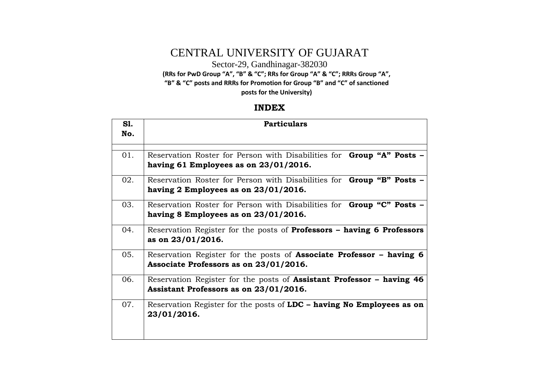## CENTRAL UNIVERSITY OF GUJARAT

Sector-29, Gandhinagar-382030

**(RRs for PwD Group "A", "B" & "C"; RRs for Group "A" & "C"; RRRs Group "A",** 

**"B" & "C" posts and RRRs for Promotion for Group "B" and "C" of sanctioned** 

**posts for the University)**

#### **INDEX**

| <b>S1.</b><br>No. | <b>Particulars</b>                                                                                                       |
|-------------------|--------------------------------------------------------------------------------------------------------------------------|
| 01.               | Reservation Roster for Person with Disabilities for <b>Group "A" Posts –</b><br>having 61 Employees as on $23/01/2016$ . |
| 02.               | Reservation Roster for Person with Disabilities for Group "B" Posts -<br>having 2 Employees as on $23/01/2016$ .         |
| 03.               | Reservation Roster for Person with Disabilities for <b>Group "C" Posts -</b><br>having 8 Employees as on $23/01/2016$ .  |
| 04.               | Reservation Register for the posts of <b>Professors – having 6 Professors</b><br>as on 23/01/2016.                       |
| 05.               | Reservation Register for the posts of <b>Associate Professor – having 6</b><br>Associate Professors as on 23/01/2016.    |
| 06.               | Reservation Register for the posts of <b>Assistant Professor</b> – having 46<br>Assistant Professors as on 23/01/2016.   |
| 07.               | Reservation Register for the posts of LDC – having No Employees as on<br>23/01/2016.                                     |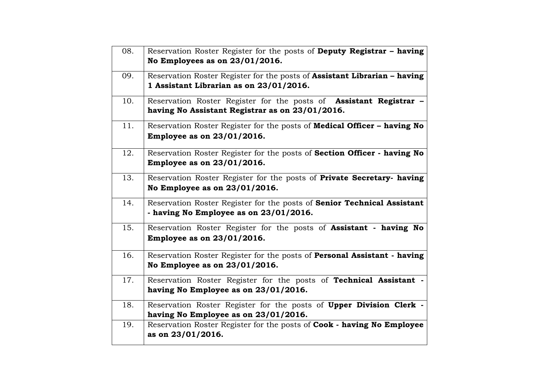| 08. | Reservation Roster Register for the posts of Deputy Registrar - having           |
|-----|----------------------------------------------------------------------------------|
|     | No Employees as on 23/01/2016.                                                   |
| 09. | Reservation Roster Register for the posts of <b>Assistant Librarian - having</b> |
|     | 1 Assistant Librarian as on 23/01/2016.                                          |
| 10. | Reservation Roster Register for the posts of <b>Assistant Registrar</b> -        |
|     | having No Assistant Registrar as on 23/01/2016.                                  |
| 11. | Reservation Roster Register for the posts of Medical Officer - having No         |
|     | Employee as on 23/01/2016.                                                       |
| 12. | Reservation Roster Register for the posts of Section Officer - having No         |
|     | Employee as on 23/01/2016.                                                       |
| 13. | Reservation Roster Register for the posts of Private Secretary- having           |
|     | No Employee as on 23/01/2016.                                                    |
| 14. | Reservation Roster Register for the posts of Senior Technical Assistant          |
|     | - having No Employee as on 23/01/2016.                                           |
| 15. | Reservation Roster Register for the posts of <b>Assistant</b> - having No        |
|     | Employee as on 23/01/2016.                                                       |
| 16. | Reservation Roster Register for the posts of Personal Assistant - having         |
|     | No Employee as on 23/01/2016.                                                    |
| 17. | Reservation Roster Register for the posts of Technical Assistant -               |
|     | having No Employee as on 23/01/2016.                                             |
| 18. | Reservation Roster Register for the posts of Upper Division Clerk -              |
|     | having No Employee as on 23/01/2016.                                             |
| 19. | Reservation Roster Register for the posts of Cook - having No Employee           |
|     | as on 23/01/2016.                                                                |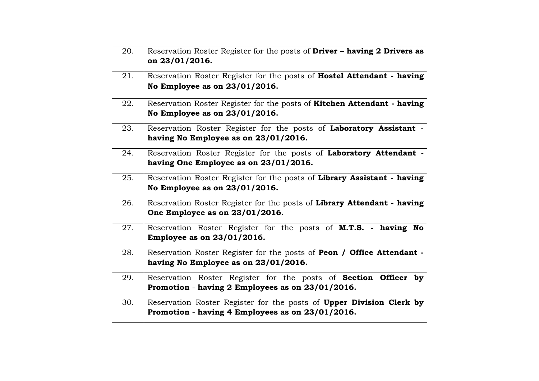| 20. | Reservation Roster Register for the posts of Driver - having 2 Drivers as<br>on 23/01/2016.                                |
|-----|----------------------------------------------------------------------------------------------------------------------------|
| 21. | Reservation Roster Register for the posts of Hostel Attendant - having<br>No Employee as on 23/01/2016.                    |
| 22. | Reservation Roster Register for the posts of Kitchen Attendant - having<br>No Employee as on 23/01/2016.                   |
| 23. | Reservation Roster Register for the posts of Laboratory Assistant -<br>having No Employee as on 23/01/2016.                |
| 24. | Reservation Roster Register for the posts of Laboratory Attendant -<br>having One Employee as on 23/01/2016.               |
| 25. | Reservation Roster Register for the posts of Library Assistant - having<br>No Employee as on 23/01/2016.                   |
| 26. | Reservation Roster Register for the posts of Library Attendant - having<br>One Employee as on 23/01/2016.                  |
| 27. | Reservation Roster Register for the posts of M.T.S. - having No<br><b>Employee as on 23/01/2016.</b>                       |
| 28. | Reservation Roster Register for the posts of Peon / Office Attendant -<br>having No Employee as on 23/01/2016.             |
| 29. | Reservation Roster Register for the posts of <b>Section Officer by</b><br>Promotion - having 2 Employees as on 23/01/2016. |
| 30. | Reservation Roster Register for the posts of Upper Division Clerk by<br>Promotion - having 4 Employees as on 23/01/2016.   |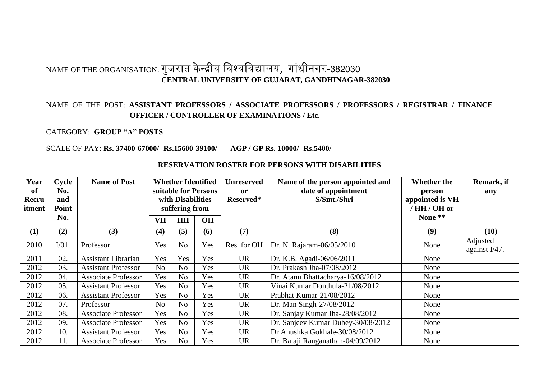## NAME OF THE ORGANISATION: गुजरात केन्द्रीय विश्वविद्यालय, गांधीनगर-382030 **CENTRAL UNIVERSITY OF GUJARAT, GANDHINAGAR-382030**

#### NAME OF THE POST: **ASSISTANT PROFESSORS / ASSOCIATE PROFESSORS / PROFESSORS / REGISTRAR / FINANCE OFFICER / CONTROLLER OF EXAMINATIONS / Etc.**

#### CATEGORY: **GROUP "A" POSTS**

#### SCALE OF PAY: **Rs. 37400-67000/- Rs.15600-39100/- AGP / GP Rs. 10000/- Rs.5400/-**

| Year            | Cycle        | <b>Name of Post</b>        | <b>Whether Identified</b>           |                | <b>Unreserved</b> | Name of the person appointed and   | <b>Whether the</b>                 | Remark, if |                           |
|-----------------|--------------|----------------------------|-------------------------------------|----------------|-------------------|------------------------------------|------------------------------------|------------|---------------------------|
| of              | No.          |                            | suitable for Persons                |                | <sub>or</sub>     | date of appointment<br>S/Smt./Shri | person                             | any        |                           |
| Recru<br>itment | and<br>Point |                            | with Disabilities<br>suffering from |                | Reserved*         |                                    | appointed is VH<br>'HH / OH or     |            |                           |
|                 | No.          |                            | <b>VH</b><br><b>HH</b><br><b>OH</b> |                |                   |                                    | None **                            |            |                           |
|                 |              |                            |                                     |                |                   |                                    |                                    |            |                           |
| (1)             | (2)          | (3)                        | (4)                                 | (5)            | (6)               | (7)                                | (8)                                | (9)        | (10)                      |
| 2010            | $I/01$ .     | Professor                  | Yes                                 | N <sub>o</sub> | Yes               | Res. for OH                        | Dr. N. Rajaram-06/05/2010          | None       | Adjusted<br>against I/47. |
| 2011            | 02.          | <b>Assistant Librarian</b> | Yes                                 | Yes            | Yes               | <b>UR</b>                          | Dr. K.B. Agadi-06/06/2011          |            |                           |
| 2012            | 03.          | <b>Assistant Professor</b> | N <sub>o</sub>                      | N <sub>o</sub> | Yes               | <b>UR</b>                          | Dr. Prakash Jha-07/08/2012         | None       |                           |
| 2012            | 04.          | <b>Associate Professor</b> | Yes                                 | N <sub>o</sub> | Yes               | <b>UR</b>                          | Dr. Atanu Bhattacharya-16/08/2012  | None       |                           |
| 2012            | 05.          | <b>Assistant Professor</b> | Yes                                 | N <sub>o</sub> | Yes               | <b>UR</b>                          | Vinai Kumar Donthula-21/08/2012    | None       |                           |
| 2012            | 06.          | <b>Assistant Professor</b> | Yes                                 | N <sub>o</sub> | Yes               | <b>UR</b>                          | Prabhat Kumar-21/08/2012           | None       |                           |
| 2012            | 07.          | Professor                  | N <sub>o</sub>                      | N <sub>o</sub> | Yes               | <b>UR</b>                          | Dr. Man Singh-27/08/2012           | None       |                           |
| 2012            | 08.          | <b>Associate Professor</b> | Yes                                 | N <sub>o</sub> | Yes               | <b>UR</b>                          | Dr. Sanjay Kumar Jha-28/08/2012    | None       |                           |
| 2012            | 09.          | <b>Associate Professor</b> | Yes                                 | N <sub>o</sub> | Yes               | <b>UR</b>                          | Dr. Sanjeev Kumar Dubey-30/08/2012 | None       |                           |
| 2012            | 10.          | <b>Assistant Professor</b> | Yes                                 | N <sub>0</sub> | Yes               | <b>UR</b>                          | Dr Anushka Gokhale-30/08/2012      | None       |                           |
| 2012            | 11.          | <b>Associate Professor</b> | Yes                                 | N <sub>o</sub> | Yes               | <b>UR</b>                          | Dr. Balaji Ranganathan-04/09/2012  | None       |                           |

#### **RESERVATION ROSTER FOR PERSONS WITH DISABILITIES**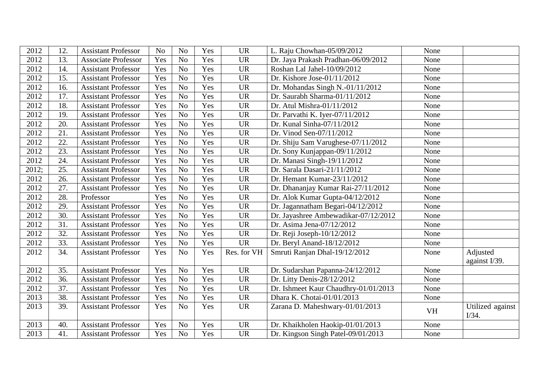| 2012  | 12.               | <b>Assistant Professor</b> | N <sub>o</sub> | N <sub>o</sub> | Yes | <b>UR</b>   | L. Raju Chowhan-05/09/2012               | None      |                           |
|-------|-------------------|----------------------------|----------------|----------------|-----|-------------|------------------------------------------|-----------|---------------------------|
| 2012  | 13.               | <b>Associate Professor</b> | Yes            | N <sub>o</sub> | Yes | <b>UR</b>   | Dr. Jaya Prakash Pradhan-06/09/2012      | None      |                           |
| 2012  | 14.               | <b>Assistant Professor</b> | Yes            | N <sub>o</sub> | Yes | <b>UR</b>   | Roshan Lal Jahel-10/09/2012              | None      |                           |
| 2012  | 15.               | <b>Assistant Professor</b> | Yes            | N <sub>o</sub> | Yes | <b>UR</b>   | Dr. Kishore Jose-01/11/2012              | None      |                           |
| 2012  | 16.               | <b>Assistant Professor</b> | Yes            | N <sub>o</sub> | Yes | <b>UR</b>   | Dr. Mohandas Singh N.-01/11/2012         | None      |                           |
| 2012  | 17.               | <b>Assistant Professor</b> | Yes            | N <sub>o</sub> | Yes | <b>UR</b>   | Dr. Saurabh Sharma-01/11/2012            | None      |                           |
| 2012  | 18.               | <b>Assistant Professor</b> | Yes            | N <sub>o</sub> | Yes | <b>UR</b>   | Dr. Atul Mishra-01/11/2012               | None      |                           |
| 2012  | 19.               | <b>Assistant Professor</b> | Yes            | N <sub>o</sub> | Yes | <b>UR</b>   | Dr. Parvathi K. Iyer-07/11/2012          | None      |                           |
| 2012  | 20.               | <b>Assistant Professor</b> | Yes            | N <sub>o</sub> | Yes | <b>UR</b>   | Dr. Kunal Sinha-07/11/2012               | None      |                           |
| 2012  | 21.               | <b>Assistant Professor</b> | Yes            | N <sub>o</sub> | Yes | <b>UR</b>   | Dr. Vinod Sen-07/11/2012                 | None      |                           |
| 2012  | 22.               | <b>Assistant Professor</b> | Yes            | N <sub>o</sub> | Yes | <b>UR</b>   | Dr. Shiju Sam Varughese-07/11/2012       | None      |                           |
| 2012  | 23.               | <b>Assistant Professor</b> | Yes            | N <sub>o</sub> | Yes | <b>UR</b>   | Dr. Sony Kunjappan-09/11/2012            | None      |                           |
| 2012  | 24.               | <b>Assistant Professor</b> | Yes            | N <sub>o</sub> | Yes | <b>UR</b>   | Dr. Manasi Singh-19/11/2012              | None      |                           |
| 2012; | 25.               | <b>Assistant Professor</b> | Yes            | N <sub>o</sub> | Yes | <b>UR</b>   | Dr. Sarala Dasari-21/11/2012             | None      |                           |
| 2012  | 26.               | <b>Assistant Professor</b> | Yes            | N <sub>o</sub> | Yes | <b>UR</b>   | Dr. Hemant Kumar-23/11/2012              | None      |                           |
| 2012  | 27.               | <b>Assistant Professor</b> | Yes            | N <sub>o</sub> | Yes | <b>UR</b>   | Dr. Dhananjay Kumar Rai-27/11/2012       | None      |                           |
| 2012  | 28.               | Professor                  | Yes            | N <sub>o</sub> | Yes | <b>UR</b>   | Dr. Alok Kumar Gupta-04/12/2012          | None      |                           |
| 2012  | 29.               | <b>Assistant Professor</b> | Yes            | N <sub>o</sub> | Yes | <b>UR</b>   | Dr. Jagannatham Begari-04/12/2012        | None      |                           |
| 2012  | 30.               | <b>Assistant Professor</b> | Yes            | N <sub>o</sub> | Yes | <b>UR</b>   | Dr. Jayashree Ambewadikar-07/12/2012     | None      |                           |
| 2012  | $\overline{31}$ . | <b>Assistant Professor</b> | Yes            | N <sub>o</sub> | Yes | <b>UR</b>   | Dr. Asima Jena-07/12/2012                | None      |                           |
| 2012  | 32.               | <b>Assistant Professor</b> | Yes            | N <sub>o</sub> | Yes | <b>UR</b>   | Dr. Reji Joseph-10/12/2012               | None      |                           |
| 2012  | 33.               | <b>Assistant Professor</b> | Yes            | N <sub>o</sub> | Yes | <b>UR</b>   | Dr. Beryl Anand-18/12/2012               | None      |                           |
| 2012  | 34.               | <b>Assistant Professor</b> | Yes            | N <sub>o</sub> | Yes | Res. for VH | Smruti Ranjan Dhal-19/12/2012            | None      | Adjusted                  |
|       |                   |                            |                |                |     |             |                                          |           | against I/39.             |
| 2012  | 35.               | <b>Assistant Professor</b> | Yes            | N <sub>o</sub> | Yes | <b>UR</b>   | Dr. Sudarshan Papanna-24/12/2012         | None      |                           |
| 2012  | 36.               | <b>Assistant Professor</b> | Yes            | N <sub>o</sub> | Yes | <b>UR</b>   | Dr. Litty Denis-28/12/2012               | None      |                           |
| 2012  | 37.               | <b>Assistant Professor</b> | Yes            | N <sub>o</sub> | Yes | <b>UR</b>   | Dr. Ishmeet Kaur Chaudhry-01/01/2013     | None      |                           |
| 2013  | 38.               | <b>Assistant Professor</b> | Yes            | N <sub>o</sub> | Yes | <b>UR</b>   | Dhara K. Chotai-01/01/2013               | None      |                           |
| 2013  | 39.               | <b>Assistant Professor</b> | Yes            | N <sub>o</sub> | Yes | <b>UR</b>   | Zarana D. Maheshwary-01/01/2013          | <b>VH</b> | Utilized against<br>I/34. |
| 2013  | 40.               | <b>Assistant Professor</b> | Yes            | N <sub>o</sub> | Yes | <b>UR</b>   | Dr. Khaikholen Haokip-01/01/2013<br>None |           |                           |
| 2013  | 41.               | <b>Assistant Professor</b> | Yes            | N <sub>o</sub> | Yes | <b>UR</b>   | Dr. Kingson Singh Patel-09/01/2013       | None      |                           |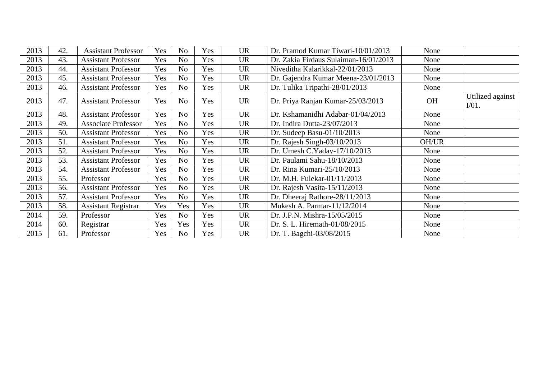| 2013 | 42. | <b>Assistant Professor</b> | Yes | N <sub>o</sub> | Yes | <b>UR</b> | Dr. Pramod Kumar Tiwari-10/01/2013    | None      |                              |
|------|-----|----------------------------|-----|----------------|-----|-----------|---------------------------------------|-----------|------------------------------|
| 2013 | 43. | <b>Assistant Professor</b> | Yes | N <sub>o</sub> | Yes | <b>UR</b> | Dr. Zakia Firdaus Sulaiman-16/01/2013 | None      |                              |
| 2013 | 44. | <b>Assistant Professor</b> | Yes | N <sub>o</sub> | Yes | <b>UR</b> | Niveditha Kalarikkal-22/01/2013       | None      |                              |
| 2013 | 45. | <b>Assistant Professor</b> | Yes | No             | Yes | <b>UR</b> | Dr. Gajendra Kumar Meena-23/01/2013   | None      |                              |
| 2013 | 46. | <b>Assistant Professor</b> | Yes | No.            | Yes | <b>UR</b> | Dr. Tulika Tripathi-28/01/2013        | None      |                              |
| 2013 | 47. | <b>Assistant Professor</b> | Yes | N <sub>o</sub> | Yes | <b>UR</b> | Dr. Priya Ranjan Kumar-25/03/2013     | <b>OH</b> | Utilized against<br>$I/01$ . |
| 2013 | 48. | <b>Assistant Professor</b> | Yes | No             | Yes | <b>UR</b> | Dr. Kshamanidhi Adabar-01/04/2013     | None      |                              |
| 2013 | 49. | <b>Associate Professor</b> | Yes | N <sub>o</sub> | Yes | <b>UR</b> | Dr. Indira Dutta-23/07/2013           | None      |                              |
| 2013 | 50. | <b>Assistant Professor</b> | Yes | N <sub>o</sub> | Yes | <b>UR</b> | Dr. Sudeep Basu- $01/10/2013$         | None      |                              |
| 2013 | 51. | <b>Assistant Professor</b> | Yes | N <sub>o</sub> | Yes | <b>UR</b> | Dr. Rajesh Singh-03/10/2013           | OH/UR     |                              |
| 2013 | 52. | <b>Assistant Professor</b> | Yes | N <sub>o</sub> | Yes | <b>UR</b> | Dr. Umesh C.Yadav-17/10/2013          | None      |                              |
| 2013 | 53. | <b>Assistant Professor</b> | Yes | No             | Yes | <b>UR</b> | Dr. Paulami Sahu-18/10/2013           | None      |                              |
| 2013 | 54. | <b>Assistant Professor</b> | Yes | No             | Yes | <b>UR</b> | Dr. Rina Kumari-25/10/2013            | None      |                              |
| 2013 | 55. | Professor                  | Yes | N <sub>o</sub> | Yes | <b>UR</b> | Dr. M.H. Fulekar-01/11/2013           | None      |                              |
| 2013 | 56. | <b>Assistant Professor</b> | Yes | N <sub>o</sub> | Yes | <b>UR</b> | Dr. Rajesh Vasita-15/11/2013          | None      |                              |
| 2013 | 57. | <b>Assistant Professor</b> | Yes | No.            | Yes | <b>UR</b> | Dr. Dheeraj Rathore-28/11/2013        | None      |                              |
| 2013 | 58. | <b>Assistant Registrar</b> | Yes | Yes            | Yes | <b>UR</b> | Mukesh A. Parmar-11/12/2014           | None      |                              |
| 2014 | 59. | Professor                  | Yes | N <sub>o</sub> | Yes | <b>UR</b> | Dr. J.P.N. Mishra-15/05/2015          | None      |                              |
| 2014 | 60. | Registrar                  | Yes | Yes            | Yes | <b>UR</b> | Dr. S. L. Hiremath-01/08/2015         | None      |                              |
| 2015 | 61. | Professor                  | Yes | No.            | Yes | <b>UR</b> | Dr. T. Bagchi-03/08/2015              | None      |                              |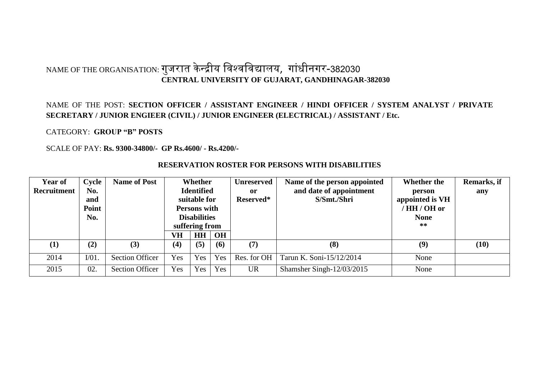## NAME OF THE ORGANISATION: गुजरात केन्द्रीय विश्वविद्यालय, गांधीनगर-382030 **CENTRAL UNIVERSITY OF GUJARAT, GANDHINAGAR-382030**

#### NAME OF THE POST: **SECTION OFFICER / ASSISTANT ENGINEER / HINDI OFFICER / SYSTEM ANALYST / PRIVATE SECRETARY / JUNIOR ENGIEER (CIVIL) / JUNIOR ENGINEER (ELECTRICAL) / ASSISTANT / Etc.**

CATEGORY: **GROUP "B" POSTS**

SCALE OF PAY: **Rs. 9300-34800/- GP Rs.4600/ - Rs.4200/-**

| <b>Year of</b> | Cycle           | <b>Name of Post</b>    | Whether                               |     | <b>Unreserved</b> | Name of the person appointed | Whether the                  | Remarks, if |      |
|----------------|-----------------|------------------------|---------------------------------------|-----|-------------------|------------------------------|------------------------------|-------------|------|
| Recruitment    | No.             |                        | <b>Identified</b>                     |     | <sub>or</sub>     | and date of appointment      | person                       | any         |      |
|                | and             |                        | suitable for                          |     | Reserved*         | S/Smt./Shri                  | appointed is VH              |             |      |
|                | Point           |                        | <b>Persons with</b>                   |     |                   |                              | HH / OH or                   |             |      |
|                | No.             |                        | <b>Disabilities</b><br>suffering from |     |                   |                              | <b>None</b><br>$**$          |             |      |
|                |                 |                        | OH<br>VH<br><b>HH</b>                 |     |                   |                              |                              |             |      |
|                |                 |                        |                                       |     |                   |                              |                              |             |      |
| (1)            | (2)             | (3)                    | (4)                                   | (5) | (6)               | (7)                          | (8)                          | (9)         | (10) |
| 2014           | V <sub>01</sub> | <b>Section Officer</b> | Yes                                   | Yes | Yes               | Res. for OH                  | Tarun K. Soni-15/12/2014     | None        |      |
| 2015           | 02.             | <b>Section Officer</b> | Yes                                   | Yes | Yes               | <b>UR</b>                    | Shamsher Singh- $12/03/2015$ | None        |      |

#### **RESERVATION ROSTER FOR PERSONS WITH DISABILITIES**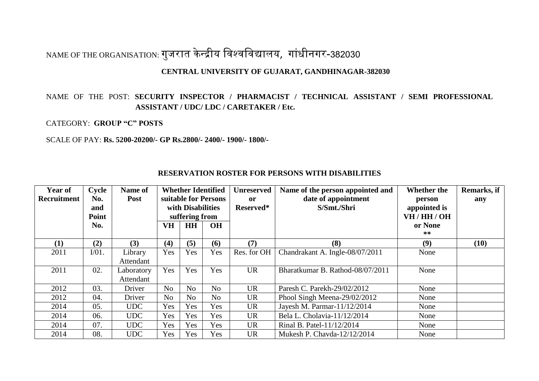# NAME OF THE ORGANISATION: गुजरात केन्द्रीय विश्वविद्यालय, गांधीनगर-382030

#### **CENTRAL UNIVERSITY OF GUJARAT, GANDHINAGAR-382030**

#### NAME OF THE POST: **SECURITY INSPECTOR / PHARMACIST / TECHNICAL ASSISTANT / SEMI PROFESSIONAL ASSISTANT / UDC/ LDC / CARETAKER / Etc.**

CATEGORY: **GROUP "C" POSTS**

SCALE OF PAY: **Rs. 5200-20200/- GP Rs.2800/- 2400/- 1900/- 1800/-**

| <b>Year of</b> | Cycle      | Name of    | <b>Whether Identified</b>                 |                | <b>Unreserved</b> | Name of the person appointed and              | Whether the                     | Remarks, if   |      |
|----------------|------------|------------|-------------------------------------------|----------------|-------------------|-----------------------------------------------|---------------------------------|---------------|------|
| Recruitment    | No.<br>and | Post       | suitable for Persons<br>with Disabilities |                | 0r<br>Reserved*   | date of appointment<br>S/Smt./Shri            | person<br>appointed is          | any           |      |
|                | Point      |            | suffering from                            |                |                   |                                               | VH/HH/OH                        |               |      |
|                | No.        |            | VH                                        | <b>HH</b>      | <b>OH</b>         |                                               |                                 | or None<br>** |      |
| (1)            | (2)        | (3)        | (4)                                       | (5)            | (6)               | (7)                                           | (8)                             | (9)           | (10) |
| 2011           | $I/01$ .   | Library    | Yes                                       | Yes            | Yes               | Res. for OH                                   | Chandrakant A. Ingle-08/07/2011 | None          |      |
|                |            | Attendant  |                                           |                |                   |                                               |                                 |               |      |
| 2011           | 02.        | Laboratory | Yes                                       | Yes            | Yes               | <b>UR</b><br>Bharatkumar B. Rathod-08/07/2011 |                                 | None          |      |
|                |            | Attendant  |                                           |                |                   |                                               |                                 |               |      |
| 2012           | 03.        | Driver     | N <sub>o</sub>                            | N <sub>o</sub> | N <sub>0</sub>    | <b>UR</b>                                     | Paresh C. Parekh-29/02/2012     | None          |      |
| 2012           | 04.        | Driver     | N <sub>o</sub>                            | No             | N <sub>o</sub>    | <b>UR</b>                                     | Phool Singh Meena-29/02/2012    | None          |      |
| 2014           | 05.        | <b>UDC</b> | Yes                                       | Yes            | Yes               | <b>UR</b>                                     | Jayesh M. Parmar-11/12/2014     | None          |      |
| 2014           | 06.        | <b>UDC</b> | Yes                                       | Yes            | Yes               | <b>UR</b>                                     | Bela L. Cholavia-11/12/2014     | None          |      |
| 2014           | 07.        | <b>UDC</b> | Yes                                       | Yes            | Yes               | <b>UR</b>                                     | Rinal B. Patel-11/12/2014       | None          |      |
| 2014           | 08.        | <b>UDC</b> | Yes                                       | Yes            | Yes               | <b>UR</b>                                     | Mukesh P. Chayda-12/12/2014     | None          |      |

#### **RESERVATION ROSTER FOR PERSONS WITH DISABILITIES**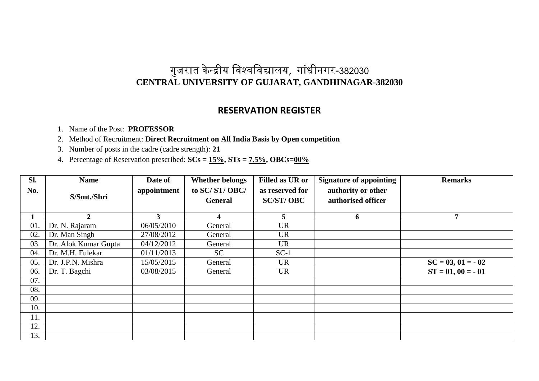### **RESERVATION REGISTER**

1. Name of the Post: **PROFESSOR**

2. Method of Recruitment: **Direct Recruitment on All India Basis by Open competition** 

3. Number of posts in the cadre (cadre strength): **21** 

| Sl. | <b>Name</b>          | Date of     | <b>Whether belongs</b> | <b>Filled as UR or</b> | <b>Signature of appointing</b> | <b>Remarks</b>      |
|-----|----------------------|-------------|------------------------|------------------------|--------------------------------|---------------------|
| No. |                      | appointment | to SC/ST/OBC/          | as reserved for        | authority or other             |                     |
|     | S/Smt./Shri          |             | <b>General</b>         | <b>SC/ST/OBC</b>       | authorised officer             |                     |
|     |                      |             |                        |                        |                                |                     |
|     | $\mathbf{2}$         | 3           | 4                      | 5                      | 6                              | 7                   |
| 01. | Dr. N. Rajaram       | 06/05/2010  | General                | <b>UR</b>              |                                |                     |
| 02. | Dr. Man Singh        | 27/08/2012  | General                | <b>UR</b>              |                                |                     |
| 03. | Dr. Alok Kumar Gupta | 04/12/2012  | General                | <b>UR</b>              |                                |                     |
| 04. | Dr. M.H. Fulekar     | 01/11/2013  | <b>SC</b>              | $SC-1$                 |                                |                     |
| 05. | Dr. J.P.N. Mishra    | 15/05/2015  | General                | <b>UR</b>              |                                | $SC = 03, 01 = -02$ |
| 06. | Dr. T. Bagchi        | 03/08/2015  | General                | <b>UR</b>              |                                | $ST = 01, 00 = -01$ |
| 07. |                      |             |                        |                        |                                |                     |
| 08. |                      |             |                        |                        |                                |                     |
| 09. |                      |             |                        |                        |                                |                     |
| 10. |                      |             |                        |                        |                                |                     |
| 11. |                      |             |                        |                        |                                |                     |
| 12. |                      |             |                        |                        |                                |                     |
| 13. |                      |             |                        |                        |                                |                     |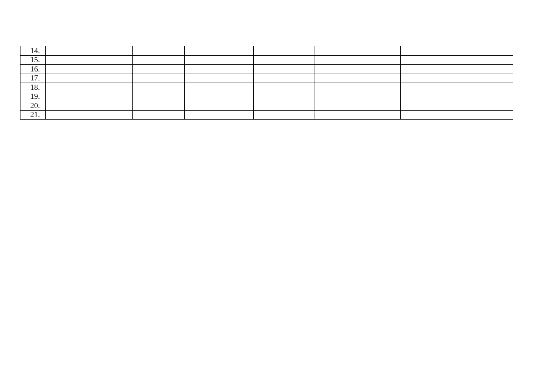| 14                          |  |  |  |
|-----------------------------|--|--|--|
| 15<br>$\overline{1}$ .      |  |  |  |
| 16.                         |  |  |  |
| 1 <sub>7</sub><br>$\perp$ . |  |  |  |
| 18.                         |  |  |  |
| 19.                         |  |  |  |
| 20.                         |  |  |  |
| $\bigcap$ 1<br>21.          |  |  |  |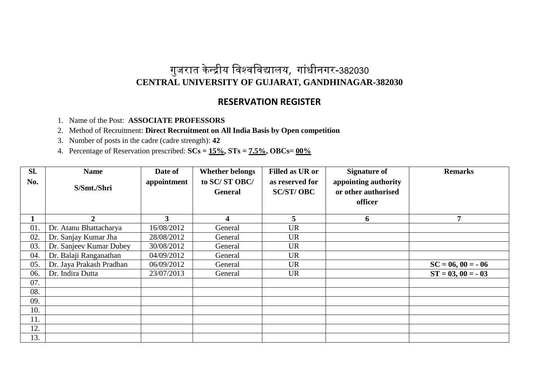### **RESERVATION REGISTER**

- 1. Name of the Post: **ASSOCIATE PROFESSORS**
- 2. Method of Recruitment: **Direct Recruitment on All India Basis by Open competition**
- 3. Number of posts in the cadre (cadre strength): **42**
- 4. Percentage of Reservation prescribed: **SCs = 15%, STs = 7.5%, OBCs= 00%**

| Sl.<br>No. | <b>Name</b>              | Date of<br>appointment | <b>Whether belongs</b><br>to SC/ST OBC/ | <b>Filled as UR or</b><br>as reserved for | <b>Signature of</b><br>appointing authority | <b>Remarks</b>      |
|------------|--------------------------|------------------------|-----------------------------------------|-------------------------------------------|---------------------------------------------|---------------------|
|            | S/Smt./Shri              |                        | <b>General</b>                          | <b>SC/ST/OBC</b>                          | or other authorised<br>officer              |                     |
|            |                          |                        |                                         |                                           |                                             |                     |
|            | $\overline{2}$           | $\overline{3}$         | $\Delta$                                | 5                                         | 6                                           | 7                   |
| 01.        | Dr. Atanu Bhattacharya   | 16/08/2012             | General                                 | <b>UR</b>                                 |                                             |                     |
| 02.        | Dr. Sanjay Kumar Jha     | 28/08/2012             | General                                 | <b>UR</b>                                 |                                             |                     |
| 03.        | Dr. Sanjeev Kumar Dubey  | 30/08/2012             | General                                 | <b>UR</b>                                 |                                             |                     |
| 04.        | Dr. Balaji Ranganathan   | 04/09/2012             | General                                 | <b>UR</b>                                 |                                             |                     |
| 05.        | Dr. Jaya Prakash Pradhan | 06/09/2012             | General                                 | <b>UR</b>                                 |                                             | $SC = 06, 00 = -06$ |
| 06.        | Dr. Indira Dutta         | 23/07/2013             | General                                 | <b>UR</b>                                 |                                             | $ST = 03, 00 = -03$ |
| 07.        |                          |                        |                                         |                                           |                                             |                     |
| 08.        |                          |                        |                                         |                                           |                                             |                     |
| 09.        |                          |                        |                                         |                                           |                                             |                     |
| 10.        |                          |                        |                                         |                                           |                                             |                     |
| 11.        |                          |                        |                                         |                                           |                                             |                     |
| 12.        |                          |                        |                                         |                                           |                                             |                     |
| 13.        |                          |                        |                                         |                                           |                                             |                     |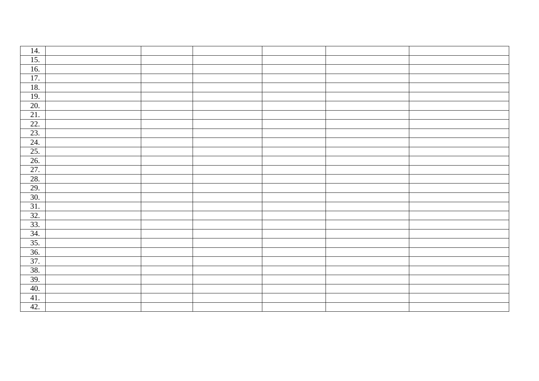| 14.               |  |  |  |
|-------------------|--|--|--|
| 15.               |  |  |  |
| 16.               |  |  |  |
| $\overline{17}$ . |  |  |  |
| 18.               |  |  |  |
| 19.               |  |  |  |
| 20.               |  |  |  |
| 21.               |  |  |  |
| 22.               |  |  |  |
| 23.               |  |  |  |
| $\overline{24}$ . |  |  |  |
| 25.               |  |  |  |
| 26.               |  |  |  |
| 27.               |  |  |  |
| 28.               |  |  |  |
| 29.               |  |  |  |
| 30.               |  |  |  |
| 31.               |  |  |  |
| 32.               |  |  |  |
| $\frac{33}{34}$   |  |  |  |
|                   |  |  |  |
| 35.               |  |  |  |
| 36.               |  |  |  |
| 37.               |  |  |  |
| 38.               |  |  |  |
| 39.               |  |  |  |
| 40.               |  |  |  |
| 41.               |  |  |  |
| 42.               |  |  |  |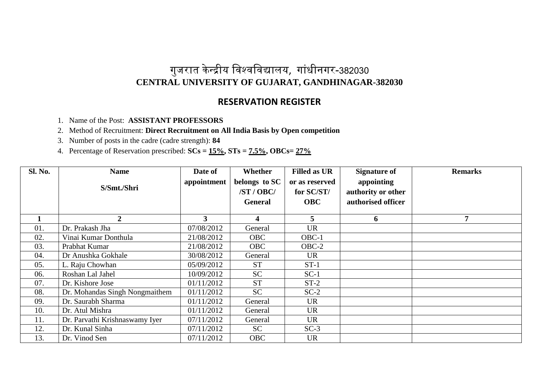### **RESERVATION REGISTER**

- 1. Name of the Post: **ASSISTANT PROFESSORS**
- 2. Method of Recruitment: **Direct Recruitment on All India Basis by Open competition**
- 3. Number of posts in the cadre (cadre strength): **84**
- 4. Percentage of Reservation prescribed: **SCs = 15%, STs = 7.5%, OBCs= 27%**

| <b>Sl. No.</b> | <b>Name</b>                    | Date of     | Whether        | <b>Filled as UR</b> | <b>Signature of</b> | <b>Remarks</b> |
|----------------|--------------------------------|-------------|----------------|---------------------|---------------------|----------------|
|                |                                | appointment | belongs to SC  | or as reserved      | appointing          |                |
|                | S/Smt./Shri                    |             | /ST / OBC/     | for SC/ST/          | authority or other  |                |
|                |                                |             | <b>General</b> | <b>OBC</b>          | authorised officer  |                |
|                |                                |             |                |                     |                     |                |
| 1              | $\overline{2}$                 | 3           | 4              | 5                   | 6                   | 7              |
| 01.            | Dr. Prakash Jha                | 07/08/2012  | General        | <b>UR</b>           |                     |                |
| 02.            | Vinai Kumar Donthula           | 21/08/2012  | <b>OBC</b>     | OBC-1               |                     |                |
| 03.            | Prabhat Kumar                  | 21/08/2012  | <b>OBC</b>     | $OBC-2$             |                     |                |
| 04.            | Dr Anushka Gokhale             | 30/08/2012  | General        | <b>UR</b>           |                     |                |
| 05.            | L. Raju Chowhan                | 05/09/2012  | <b>ST</b>      | $ST-1$              |                     |                |
| 06.            | Roshan Lal Jahel               | 10/09/2012  | <b>SC</b>      | $SC-1$              |                     |                |
| 07.            | Dr. Kishore Jose               | 01/11/2012  | <b>ST</b>      | $ST-2$              |                     |                |
| 08.            | Dr. Mohandas Singh Nongmaithem | 01/11/2012  | SC             | $SC-2$              |                     |                |
| 09.            | Dr. Saurabh Sharma             | 01/11/2012  | General        | <b>UR</b>           |                     |                |
| 10.            | Dr. Atul Mishra                | 01/11/2012  | General        | <b>UR</b>           |                     |                |
| 11.            | Dr. Parvathi Krishnaswamy Iyer | 07/11/2012  | General        | <b>UR</b>           |                     |                |
| 12.            | Dr. Kunal Sinha                | 07/11/2012  | SC             | $SC-3$              |                     |                |
| 13.            | Dr. Vinod Sen                  | 07/11/2012  | <b>OBC</b>     | <b>UR</b>           |                     |                |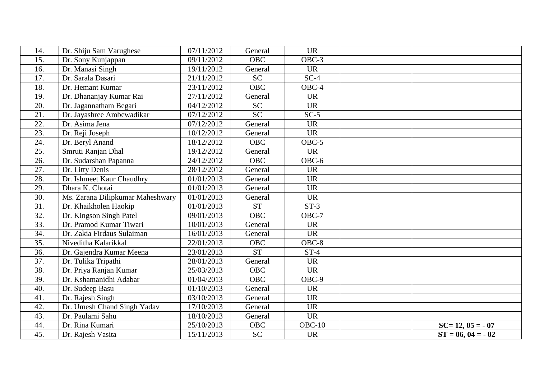| 14.             | Dr. Shiju Sam Varughese          | 07/11/2012 | General    | <b>UR</b> |                     |
|-----------------|----------------------------------|------------|------------|-----------|---------------------|
| 15.             | Dr. Sony Kunjappan               | 09/11/2012 | <b>OBC</b> | OBC-3     |                     |
| 16.             | Dr. Manasi Singh                 | 19/11/2012 | General    | <b>UR</b> |                     |
| 17.             | Dr. Sarala Dasari                | 21/11/2012 | <b>SC</b>  | $SC-4$    |                     |
| 18.             | Dr. Hemant Kumar                 | 23/11/2012 | <b>OBC</b> | OBC-4     |                     |
| 19.             | Dr. Dhananjay Kumar Rai          | 27/11/2012 | General    | <b>UR</b> |                     |
| 20.             | Dr. Jagannatham Begari           | 04/12/2012 | <b>SC</b>  | <b>UR</b> |                     |
| 21.             | Dr. Jayashree Ambewadikar        | 07/12/2012 | <b>SC</b>  | $SC-5$    |                     |
| 22.             | Dr. Asima Jena                   | 07/12/2012 | General    | <b>UR</b> |                     |
| 23.             | Dr. Reji Joseph                  | 10/12/2012 | General    | <b>UR</b> |                     |
| 24.             | Dr. Beryl Anand                  | 18/12/2012 | <b>OBC</b> | $OBC-5$   |                     |
| 25.             | Smruti Ranjan Dhal               | 19/12/2012 | General    | <b>UR</b> |                     |
| 26.             | Dr. Sudarshan Papanna            | 24/12/2012 | <b>OBC</b> | OBC-6     |                     |
| 27.             | Dr. Litty Denis                  | 28/12/2012 | General    | <b>UR</b> |                     |
| 28.             | Dr. Ishmeet Kaur Chaudhry        | 01/01/2013 | General    | <b>UR</b> |                     |
| 29.             | Dhara K. Chotai                  | 01/01/2013 | General    | <b>UR</b> |                     |
| 30.             | Ms. Zarana Dilipkumar Maheshwary | 01/01/2013 | General    | <b>UR</b> |                     |
| $\overline{31}$ | Dr. Khaikholen Haokip            | 01/01/2013 | <b>ST</b>  | $ST-3$    |                     |
| 32.             | Dr. Kingson Singh Patel          | 09/01/2013 | <b>OBC</b> | $OBC-7$   |                     |
| 33.             | Dr. Pramod Kumar Tiwari          | 10/01/2013 | General    | <b>UR</b> |                     |
| 34.             | Dr. Zakia Firdaus Sulaiman       | 16/01/2013 | General    | <b>UR</b> |                     |
| 35.             | Niveditha Kalarikkal             | 22/01/2013 | <b>OBC</b> | OBC-8     |                     |
| 36.             | Dr. Gajendra Kumar Meena         | 23/01/2013 | <b>ST</b>  | $ST-4$    |                     |
| 37.             | Dr. Tulika Tripathi              | 28/01/2013 | General    | <b>UR</b> |                     |
| 38.             | Dr. Priya Ranjan Kumar           | 25/03/2013 | <b>OBC</b> | <b>UR</b> |                     |
| 39.             | Dr. Kshamanidhi Adabar           | 01/04/2013 | <b>OBC</b> | OBC-9     |                     |
| 40.             | Dr. Sudeep Basu                  | 01/10/2013 | General    | <b>UR</b> |                     |
| 41.             | Dr. Rajesh Singh                 | 03/10/2013 | General    | <b>UR</b> |                     |
| 42.             | Dr. Umesh Chand Singh Yadav      | 17/10/2013 | General    | <b>UR</b> |                     |
| 43.             | Dr. Paulami Sahu                 | 18/10/2013 | General    | <b>UR</b> |                     |
| 44.             | Dr. Rina Kumari                  | 25/10/2013 | <b>OBC</b> | $OBC-10$  | $SC=12, 05 = -07$   |
| 45.             | Dr. Rajesh Vasita                | 15/11/2013 | <b>SC</b>  | <b>UR</b> | $ST = 06, 04 = -02$ |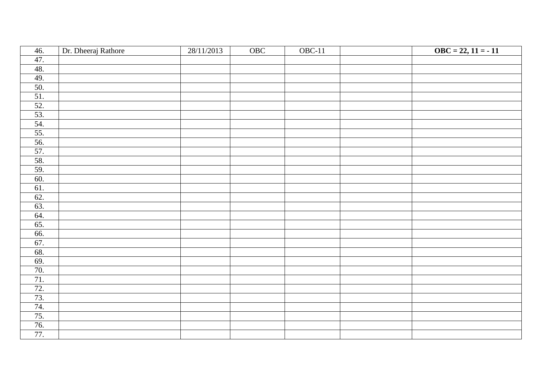| 46.                      | Dr. Dheeraj Rathore | 28/11/2013 | OBC | $OBC-11$ | $\text{OBC} = 22, 11 = -11$ |
|--------------------------|---------------------|------------|-----|----------|-----------------------------|
| 47.                      |                     |            |     |          |                             |
| 48.                      |                     |            |     |          |                             |
| 49.                      |                     |            |     |          |                             |
| 50.                      |                     |            |     |          |                             |
| 51.                      |                     |            |     |          |                             |
| $rac{52}{53}$            |                     |            |     |          |                             |
|                          |                     |            |     |          |                             |
|                          |                     |            |     |          |                             |
|                          |                     |            |     |          |                             |
| $\frac{54.}{55.}$<br>56. |                     |            |     |          |                             |
|                          |                     |            |     |          |                             |
| $\frac{57}{58}$          |                     |            |     |          |                             |
| 59.                      |                     |            |     |          |                             |
| 60.                      |                     |            |     |          |                             |
| 61.                      |                     |            |     |          |                             |
| 62.                      |                     |            |     |          |                             |
| 63.                      |                     |            |     |          |                             |
| 64.                      |                     |            |     |          |                             |
| 65.                      |                     |            |     |          |                             |
| 66.                      |                     |            |     |          |                             |
| 67.                      |                     |            |     |          |                             |
| 68.                      |                     |            |     |          |                             |
| 69.                      |                     |            |     |          |                             |
| 70.                      |                     |            |     |          |                             |
| 71.                      |                     |            |     |          |                             |
| 72.                      |                     |            |     |          |                             |
| $\frac{73}{74}$          |                     |            |     |          |                             |
|                          |                     |            |     |          |                             |
| 75.                      |                     |            |     |          |                             |
| $\frac{76.}{77.}$        |                     |            |     |          |                             |
|                          |                     |            |     |          |                             |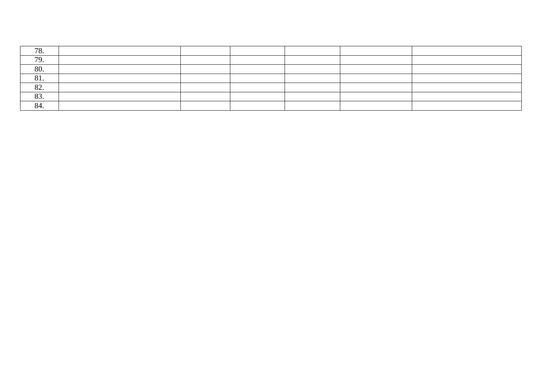| 70                      |  |  |  |
|-------------------------|--|--|--|
| 70                      |  |  |  |
| 80.                     |  |  |  |
| $Q_1$<br>O <sub>1</sub> |  |  |  |
| $\Omega$<br>$O\angle$   |  |  |  |
| $\Omega$<br>00.         |  |  |  |
| 84.                     |  |  |  |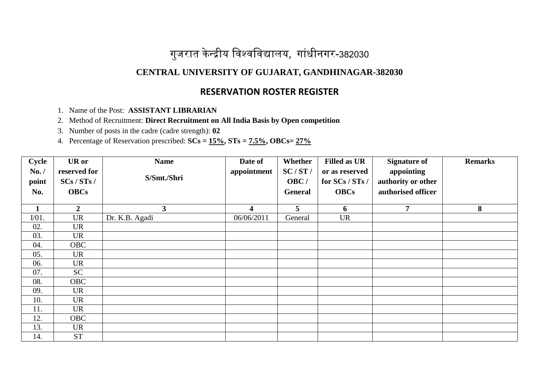# गुजरात केन्द्रीय विश्वविद्यालय, गांधीनगर-382030

### **CENTRAL UNIVERSITY OF GUJARAT, GANDHINAGAR-382030**

### **RESERVATION ROSTER REGISTER**

1. Name of the Post: **ASSISTANT LIBRARIAN**

2. Method of Recruitment: **Direct Recruitment on All India Basis by Open competition**

3. Number of posts in the cadre (cadre strength): **02**

| Cycle        | <b>UR</b> or   | <b>Name</b>    | Date of     | Whether         | <b>Filled as UR</b> | <b>Signature of</b> | <b>Remarks</b> |
|--------------|----------------|----------------|-------------|-----------------|---------------------|---------------------|----------------|
| No. /        | reserved for   |                | appointment | SC/ST/          | or as reserved      | appointing          |                |
| point        | SCs / STs /    | S/Smt./Shri    |             | OBC/            | for SCs / STs /     | authority or other  |                |
| No.          | <b>OBCs</b>    |                |             | General         | <b>OBCs</b>         | authorised officer  |                |
|              |                |                |             |                 |                     |                     |                |
| $\mathbf{1}$ | $\overline{2}$ | 3              | 4           | $5\overline{)}$ | 6                   | 7                   | 8              |
| $I/01$ .     | <b>UR</b>      | Dr. K.B. Agadi | 06/06/2011  | General         | <b>UR</b>           |                     |                |
| 02.          | <b>UR</b>      |                |             |                 |                     |                     |                |
| 03.          | <b>UR</b>      |                |             |                 |                     |                     |                |
| 04.          | <b>OBC</b>     |                |             |                 |                     |                     |                |
| 05.          | <b>UR</b>      |                |             |                 |                     |                     |                |
| 06.          | <b>UR</b>      |                |             |                 |                     |                     |                |
| 07.          | SC             |                |             |                 |                     |                     |                |
| 08.          | <b>OBC</b>     |                |             |                 |                     |                     |                |
| 09.          | <b>UR</b>      |                |             |                 |                     |                     |                |
| 10.          | <b>UR</b>      |                |             |                 |                     |                     |                |
| 11.          | <b>UR</b>      |                |             |                 |                     |                     |                |
| 12.          | <b>OBC</b>     |                |             |                 |                     |                     |                |
| 13.          | <b>UR</b>      |                |             |                 |                     |                     |                |
| 14.          | <b>ST</b>      |                |             |                 |                     |                     |                |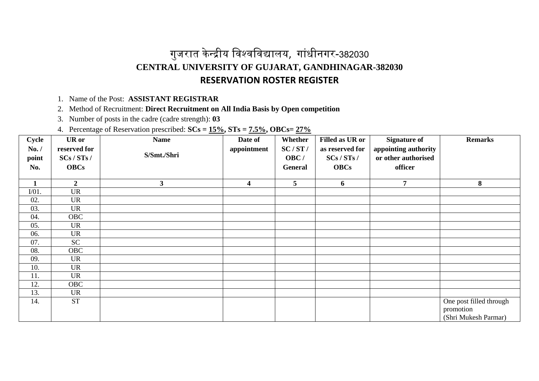## गुजरात केन्द्रीय विश्वविद्यालय, गांधीनगर-382030 **CENTRAL UNIVERSITY OF GUJARAT, GANDHINAGAR-382030 RESERVATION ROSTER REGISTER**

1. Name of the Post: **ASSISTANT REGISTRAR**

2. Method of Recruitment: **Direct Recruitment on All India Basis by Open competition**

3. Number of posts in the cadre (cadre strength): **03**

| Cycle<br>No. /<br>point<br>No. | <b>UR</b> or<br>reserved for<br>SCs / STs /<br><b>OBCs</b> | <b>Name</b><br>S/Smt./Shri | Date of<br>appointment  | Whether<br>SC/ST/<br>OBC/<br>General | Filled as UR or<br>as reserved for<br>SCs / STs /<br><b>OBCs</b> | <b>Signature of</b><br>appointing authority<br>or other authorised<br>officer | <b>Remarks</b>                                               |
|--------------------------------|------------------------------------------------------------|----------------------------|-------------------------|--------------------------------------|------------------------------------------------------------------|-------------------------------------------------------------------------------|--------------------------------------------------------------|
|                                |                                                            |                            |                         |                                      |                                                                  |                                                                               |                                                              |
| $\mathbf{1}$                   | $\overline{2}$                                             | $\mathbf{3}$               | $\overline{\mathbf{4}}$ | 5                                    | 6                                                                | $\overline{7}$                                                                | 8                                                            |
| $I/01$ .                       | <b>UR</b>                                                  |                            |                         |                                      |                                                                  |                                                                               |                                                              |
| 02.                            | <b>UR</b>                                                  |                            |                         |                                      |                                                                  |                                                                               |                                                              |
| 03.                            | <b>UR</b>                                                  |                            |                         |                                      |                                                                  |                                                                               |                                                              |
| 04.                            | <b>OBC</b>                                                 |                            |                         |                                      |                                                                  |                                                                               |                                                              |
| 05.                            | <b>UR</b>                                                  |                            |                         |                                      |                                                                  |                                                                               |                                                              |
| 06.                            | <b>UR</b>                                                  |                            |                         |                                      |                                                                  |                                                                               |                                                              |
| 07.                            | <b>SC</b>                                                  |                            |                         |                                      |                                                                  |                                                                               |                                                              |
| 08.                            | <b>OBC</b>                                                 |                            |                         |                                      |                                                                  |                                                                               |                                                              |
| 09.                            | <b>UR</b>                                                  |                            |                         |                                      |                                                                  |                                                                               |                                                              |
| 10.                            | <b>UR</b>                                                  |                            |                         |                                      |                                                                  |                                                                               |                                                              |
| 11.                            | <b>UR</b>                                                  |                            |                         |                                      |                                                                  |                                                                               |                                                              |
| 12.                            | <b>OBC</b>                                                 |                            |                         |                                      |                                                                  |                                                                               |                                                              |
| 13.                            | UR                                                         |                            |                         |                                      |                                                                  |                                                                               |                                                              |
| 14.                            | $\operatorname{ST}$                                        |                            |                         |                                      |                                                                  |                                                                               | One post filled through<br>promotion<br>(Shri Mukesh Parmar) |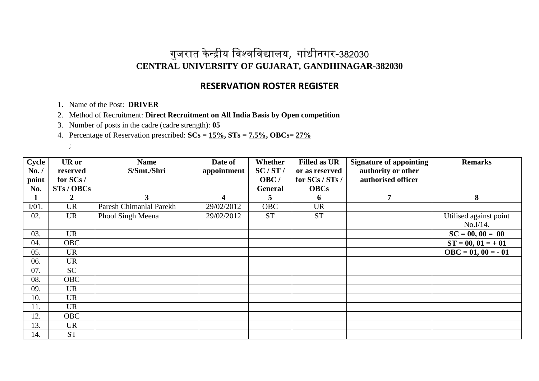#### **RESERVATION ROSTER REGISTER**

- 1. Name of the Post: **DRIVER**
- 2. Method of Recruitment: **Direct Recruitment on All India Basis by Open competition**
- 3. Number of posts in the cadre (cadre strength): **05**
- 4. Percentage of Reservation prescribed: **SCs = 15%, STs = 7.5%, OBCs= 27%**
	- ;

| Cycle    | <b>UR</b> or | <b>Name</b>             | Date of     | Whether        | <b>Filled as UR</b> | <b>Signature of appointing</b> | <b>Remarks</b>              |
|----------|--------------|-------------------------|-------------|----------------|---------------------|--------------------------------|-----------------------------|
| No. /    | reserved     | S/Smt./Shri             | appointment | SC/ST/         | or as reserved      | authority or other             |                             |
| point    | for SCs/     |                         |             | OBC/           | for SCs / STs /     | authorised officer             |                             |
| No.      | STs / OBCs   |                         |             | <b>General</b> | <b>OBCs</b>         |                                |                             |
|          |              | 3                       | 4           | 5.             | 6                   | 7                              | 8                           |
| $I/01$ . | <b>UR</b>    | Paresh Chimanlal Parekh | 29/02/2012  | <b>OBC</b>     | <b>UR</b>           |                                |                             |
| 02.      | <b>UR</b>    | Phool Singh Meena       | 29/02/2012  | <b>ST</b>      | <b>ST</b>           |                                | Utilised against point      |
|          |              |                         |             |                |                     |                                | No.I/14.                    |
| 03.      | <b>UR</b>    |                         |             |                |                     |                                | $SC = 00, 00 = 00$          |
| 04.      | <b>OBC</b>   |                         |             |                |                     |                                | $ST = 00, 01 = +01$         |
| 05.      | <b>UR</b>    |                         |             |                |                     |                                | $\text{OBC} = 01, 00 = -01$ |
| 06.      | <b>UR</b>    |                         |             |                |                     |                                |                             |
| 07.      | <b>SC</b>    |                         |             |                |                     |                                |                             |
| 08.      | <b>OBC</b>   |                         |             |                |                     |                                |                             |
| 09.      | <b>UR</b>    |                         |             |                |                     |                                |                             |
| 10.      | <b>UR</b>    |                         |             |                |                     |                                |                             |
| 11.      | <b>UR</b>    |                         |             |                |                     |                                |                             |
| 12.      | <b>OBC</b>   |                         |             |                |                     |                                |                             |
| 13.      | <b>UR</b>    |                         |             |                |                     |                                |                             |
| 14.      | <b>ST</b>    |                         |             |                |                     |                                |                             |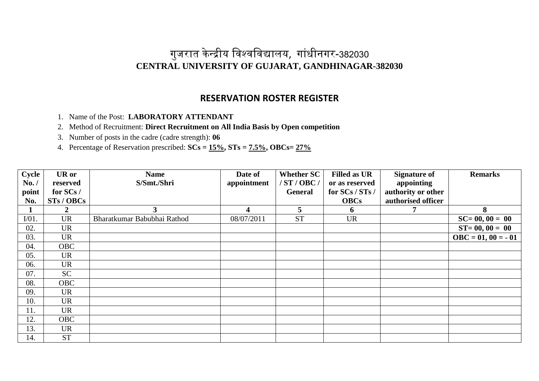### **RESERVATION ROSTER REGISTER**

1. Name of the Post: **LABORATORY ATTENDANT**

2. Method of Recruitment: **Direct Recruitment on All India Basis by Open competition**

3. Number of posts in the cadre (cadre strength): **06**

| Cycle    | <b>UR</b> or | <b>Name</b>                 | Date of                 | <b>Whether SC</b> | <b>Filled as UR</b> | <b>Signature of</b> | <b>Remarks</b>              |
|----------|--------------|-----------------------------|-------------------------|-------------------|---------------------|---------------------|-----------------------------|
| No. /    | reserved     | S/Smt./Shri                 | appointment             | /ST/OBC/          | or as reserved      | appointing          |                             |
| point    | for SCs/     |                             |                         | <b>General</b>    | for SCs / STs /     | authority or other  |                             |
| No.      | STs / OBCs   |                             |                         |                   | <b>OBCs</b>         | authorised officer  |                             |
|          | $\mathbf{2}$ | $\mathbf{3}$                | $\overline{\mathbf{4}}$ | 5                 | 6                   |                     | 8                           |
| $I/01$ . | <b>UR</b>    | Bharatkumar Babubhai Rathod | 08/07/2011              | <b>ST</b>         | <b>UR</b>           |                     | $SC = 00, 00 = 00$          |
| 02.      | <b>UR</b>    |                             |                         |                   |                     |                     | $ST = 00, 00 = 00$          |
| 03.      | <b>UR</b>    |                             |                         |                   |                     |                     | $\text{OBC} = 01, 00 = -01$ |
| 04.      | <b>OBC</b>   |                             |                         |                   |                     |                     |                             |
| 05.      | <b>UR</b>    |                             |                         |                   |                     |                     |                             |
| 06.      | <b>UR</b>    |                             |                         |                   |                     |                     |                             |
| 07.      | SC           |                             |                         |                   |                     |                     |                             |
| 08.      | <b>OBC</b>   |                             |                         |                   |                     |                     |                             |
| 09.      | <b>UR</b>    |                             |                         |                   |                     |                     |                             |
| 10.      | <b>UR</b>    |                             |                         |                   |                     |                     |                             |
| 11.      | <b>UR</b>    |                             |                         |                   |                     |                     |                             |
| 12.      | <b>OBC</b>   |                             |                         |                   |                     |                     |                             |
| 13.      | <b>UR</b>    |                             |                         |                   |                     |                     |                             |
| 14.      | <b>ST</b>    |                             |                         |                   |                     |                     |                             |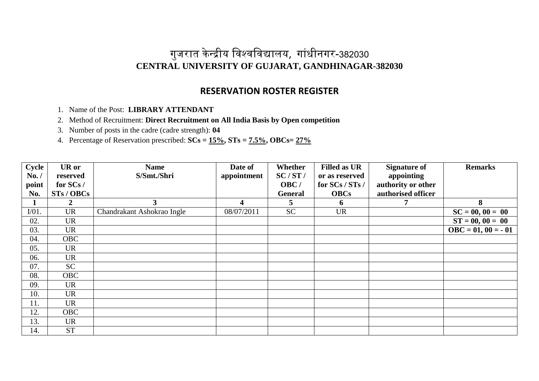### **RESERVATION ROSTER REGISTER**

1. Name of the Post: **LIBRARY ATTENDANT**

2. Method of Recruitment: **Direct Recruitment on All India Basis by Open competition**

3. Number of posts in the cadre (cadre strength): **04**

| <b>Cycle</b> | <b>UR</b> or | <b>Name</b>                | Date of     | Whether        | <b>Filled as UR</b> | <b>Signature of</b> | <b>Remarks</b>              |
|--------------|--------------|----------------------------|-------------|----------------|---------------------|---------------------|-----------------------------|
| No. /        | reserved     | S/Smt./Shri                | appointment | SC/ST/         | or as reserved      | appointing          |                             |
| point        | for SCs/     |                            |             | OBC/           | for SCs / STs /     | authority or other  |                             |
| No.          | STs / OBCs   |                            |             | <b>General</b> | <b>OBCs</b>         | authorised officer  |                             |
|              | 2            | 3 <sup>1</sup>             | 4           | 5              | 6                   |                     | 8                           |
| $I/01$ .     | <b>UR</b>    | Chandrakant Ashokrao Ingle | 08/07/2011  | <b>SC</b>      | <b>UR</b>           |                     | $SC = 00, 00 = 00$          |
| 02.          | <b>UR</b>    |                            |             |                |                     |                     | $ST = 00, 00 = 00$          |
| 03.          | <b>UR</b>    |                            |             |                |                     |                     | $\text{OBC} = 01, 00 = -01$ |
| 04.          | <b>OBC</b>   |                            |             |                |                     |                     |                             |
| 05.          | <b>UR</b>    |                            |             |                |                     |                     |                             |
| 06.          | <b>UR</b>    |                            |             |                |                     |                     |                             |
| 07.          | SC           |                            |             |                |                     |                     |                             |
| 08.          | <b>OBC</b>   |                            |             |                |                     |                     |                             |
| 09.          | <b>UR</b>    |                            |             |                |                     |                     |                             |
| 10.          | <b>UR</b>    |                            |             |                |                     |                     |                             |
| 11.          | <b>UR</b>    |                            |             |                |                     |                     |                             |
| 12.          | <b>OBC</b>   |                            |             |                |                     |                     |                             |
| 13.          | <b>UR</b>    |                            |             |                |                     |                     |                             |
| 14.          | <b>ST</b>    |                            |             |                |                     |                     |                             |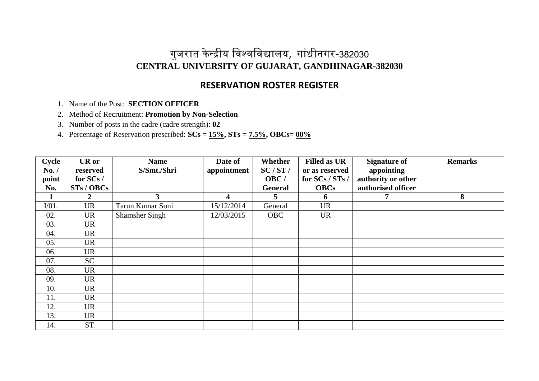### **RESERVATION ROSTER REGISTER**

1. Name of the Post: **SECTION OFFICER** 

2. Method of Recruitment: **Promotion by Non-Selection**

3. Number of posts in the cadre (cadre strength): **02**

| Cycle    | <b>UR</b> or | <b>Name</b>           | Date of                 | Whether        | <b>Filled as UR</b> | <b>Signature of</b> | <b>Remarks</b> |
|----------|--------------|-----------------------|-------------------------|----------------|---------------------|---------------------|----------------|
| No. /    | reserved     | S/Smt./Shri           | appointment             | SC/ST/         | or as reserved      | appointing          |                |
| point    | for SCs/     |                       |                         | OBC/           | for SCs / STs /     | authority or other  |                |
| No.      | STs / OBCs   |                       |                         | <b>General</b> | <b>OBCs</b>         | authorised officer  |                |
|          | 2            | 3                     | $\overline{\mathbf{4}}$ | 5              | 6                   |                     | 8              |
| $I/01$ . | <b>UR</b>    | Tarun Kumar Soni      | 15/12/2014              | General        | <b>UR</b>           |                     |                |
| 02.      | <b>UR</b>    | <b>Shamsher Singh</b> | 12/03/2015              | <b>OBC</b>     | <b>UR</b>           |                     |                |
| 03.      | <b>UR</b>    |                       |                         |                |                     |                     |                |
| 04.      | <b>UR</b>    |                       |                         |                |                     |                     |                |
| 05.      | <b>UR</b>    |                       |                         |                |                     |                     |                |
| 06.      | UR           |                       |                         |                |                     |                     |                |
| 07.      | <b>SC</b>    |                       |                         |                |                     |                     |                |
| 08.      | <b>UR</b>    |                       |                         |                |                     |                     |                |
| 09.      | <b>UR</b>    |                       |                         |                |                     |                     |                |
| 10.      | <b>UR</b>    |                       |                         |                |                     |                     |                |
| 11.      | <b>UR</b>    |                       |                         |                |                     |                     |                |
| 12.      | <b>UR</b>    |                       |                         |                |                     |                     |                |
| 13.      | <b>UR</b>    |                       |                         |                |                     |                     |                |
| 14.      | <b>ST</b>    |                       |                         |                |                     |                     |                |